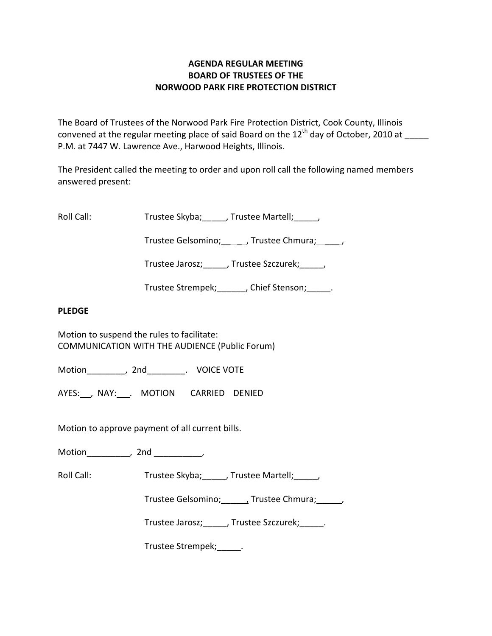# **AGENDA REGULAR MEETING BOARD OF TRUSTEES OF THE NORWOOD PARK FIRE PROTECTION DISTRICT**

The Board of Trustees of the Norwood Park Fire Protection District, Cook County, Illinois convened at the regular meeting place of said Board on the  $12<sup>th</sup>$  day of October, 2010 at P.M. at 7447 W. Lawrence Ave., Harwood Heights, Illinois.

The President called the meeting to order and upon roll call the following named members answered present:

Roll Call: Trustee Skyba; J. Trustee Martell; Trustee Martell;

Trustee Gelsomino; frustee Chmura;  $\qquad$ 

Trustee Jarosz; J. Trustee Szczurek; J.

Trustee Strempek; fight of Stenson; the Stenson;

## **PLEDGE**

Motion to suspend the rules to facilitate: COMMUNICATION WITH THE AUDIENCE (Public Forum)

Motion \_\_\_\_\_\_\_\_, 2nd \_\_\_\_\_\_\_\_. VOICE VOTE

AYES: NAY: MOTION CARRIED DENIED

Motion to approve payment of all current bills.

Motion\_\_\_\_\_\_\_\_\_, 2nd \_\_\_\_\_\_\_\_\_\_,

Roll Call: Trustee Skyba; J. Trustee Martell; Trustee Martell;

Trustee Gelsomino; \_\_\_\_\_, Trustee Chmura; \_\_\_\_\_\_,

Trustee Jarosz; Justee Szczurek; Latenberg

Trustee Strempek;\_\_\_\_\_.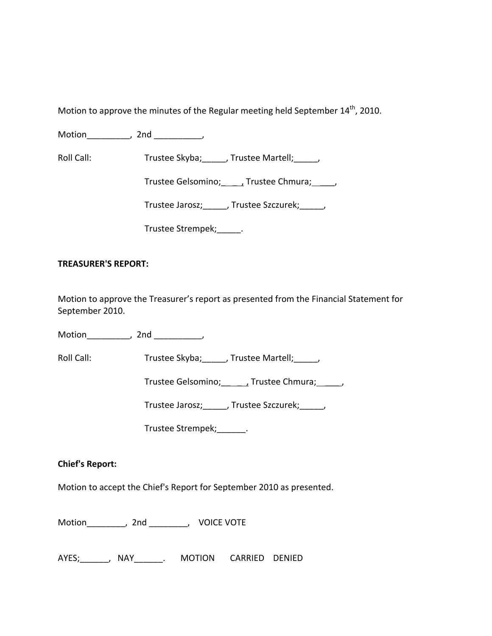Motion to approve the minutes of the Regular meeting held September  $14<sup>th</sup>$ , 2010.

Motion the motion of the motion of the motion of the motion of the motion of the motion of the motion of the m<br>Second motion of the motion of the motion of the motion of the motion of the motion of the motion of the motio<br>

Roll Call: Trustee Skyba; Trustee Martell;

Trustee Gelsomino; \_\_\_\_\_, Trustee Chmura; \_\_\_\_\_,

Trustee Jarosz;\_\_\_\_\_, Trustee Szczurek;\_\_\_\_\_,

Trustee Strempek; \_\_\_\_\_\_.

## **TREASURER'S REPORT:**

Motion to approve the Treasurer's report as presented from the Financial Statement for September 2010.

Motion\_\_\_\_\_\_\_\_\_, 2nd \_\_\_\_\_\_\_\_\_\_,

Roll Call: Trustee Skyba; \_\_\_\_, Trustee Martell; \_\_\_\_,

Trustee Gelsomino; \_\_\_\_\_\_, Trustee Chmura; \_\_\_\_\_\_,

Trustee Jarosz;\_\_\_\_\_, Trustee Szczurek;\_\_\_\_\_,

Trustee Strempek;\_\_\_\_\_\_.

## **Chief's Report:**

Motion to accept the Chief's Report for September 2010 as presented.

Motion\_\_\_\_\_\_\_\_, 2nd \_\_\_\_\_\_\_\_, VOICE VOTE

AYES;\_\_\_\_\_\_, NAY\_\_\_\_\_\_. MOTION CARRIED DENIED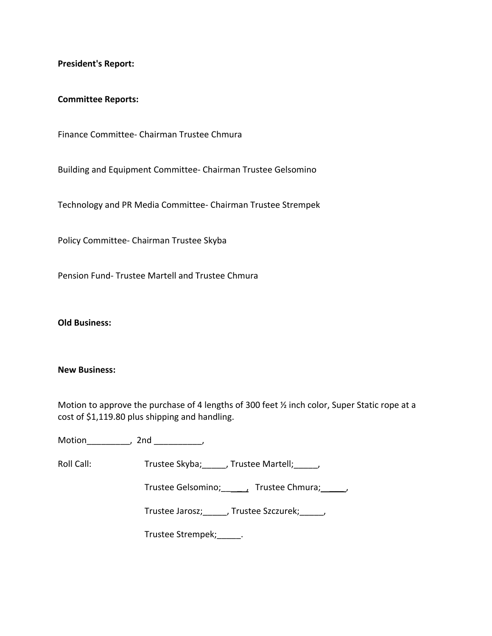**President's Report:**

#### **Committee Reports:**

Finance Committee‐ Chairman Trustee Chmura

Building and Equipment Committee‐ Chairman Trustee Gelsomino

Technology and PR Media Committee‐ Chairman Trustee Strempek

Policy Committee‐ Chairman Trustee Skyba

Pension Fund‐ Trustee Martell and Trustee Chmura

**Old Business:**

#### **New Business:**

Motion to approve the purchase of 4 lengths of 300 feet ½ inch color, Super Static rope at a cost of \$1,119.80 plus shipping and handling.

Motion\_\_\_\_\_\_\_\_\_, 2nd \_\_\_\_\_\_\_\_\_\_,

Roll Call: Trustee Skyba; Trustee Martell; Trustee Martell;

Trustee Gelsomino; \_\_\_\_\_\_, Trustee Chmura; \_\_\_\_\_,

Trustee Jarosz;\_\_\_\_\_, Trustee Szczurek;\_\_\_\_\_,

Trustee Strempek;\_\_\_\_\_.